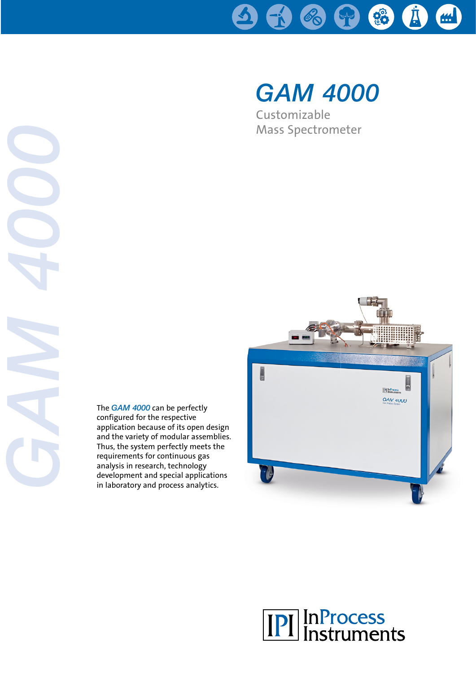

# *GAM 4000*

Customizable Mass Spectrometer

The *GAM 4000* can be perfectly configured for the respective application because of its open design and the variety of modular assemblies. Thus, the system perfectly meets the requirements for continuous gas analysis in research, technology development and special applications in laboratory and process analytics.

*GAM 4000*



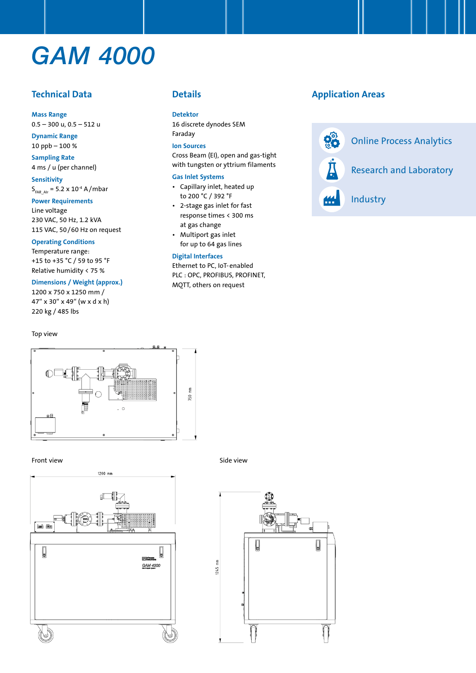## *GAM 4000*

## **Technical Data**

**Mass Range** 0.5 – 300 u, 0.5 – 512 u

**Dynamic Range** 10 ppb – 100 %

**Sampling Rate** 

4 ms / u (per channel) **Sensitivity**

 $S_{FAR-AIr}$  = 5.2 x 10<sup>-4</sup> A/mbar

### **Power Requirements**

Line voltage 230 VAC, 50 Hz, 1.2 kVA 115 VAC, 50/60 Hz on request

#### **Operating Conditions**

Temperature range: +15 to +35 °C / 59 to 95 °F Relative humidity < 75 %

#### **Dimensions / Weight (approx.)**

1200 x 750 x 1250 mm / 47" x 30" x 49" (w x d x h) 220 kg / 485 lbs

#### Top view



#### **Detektor**

16 discrete dynodes SEM Faraday

#### **Ion Sources**

Cross Beam (EI), open and gas-tight with tungsten or yttrium filaments

#### **Gas Inlet Systems**

- Capillary inlet, heated up to 200 °C / 392 °F
- 2-stage gas inlet for fast response times < 300 ms at gas change
- Multiport gas inlet for up to 64 gas lines

#### **Digital Interfaces**

Ethernet to PC, IoT-enabled PLC : OPC, PROFIBUS, PROFINET, MQTT, others on request

## **Application Areas**





#### Front view Side view Side view Side view Side view Side view Side view Side view Side view Side view Side view



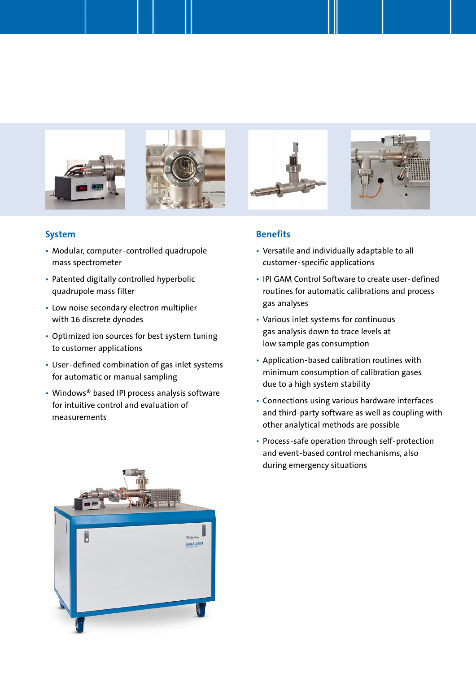

## **System**

- Modular, computer- controlled quadrupole mass spectrometer
- Patented digitally controlled hyperbolic quadrupole mass filter
- Low noise secondary electron multiplier with 16 discrete dynodes
- Optimized ion sources for best system tuning to customer applications
- User-defined combination of gas inlet systems for automatic or manual sampling
- Windows® based IPI process analysis software for intuitive control and evaluation of measurements

### **Benefits**

- Versatile and individually adaptable to all customer-specific applications
- IPI GAM Control Software to create user-defined routines for automatic calibrations and process gas analyses
- Various inlet systems for continuous gas analysis down to trace levels at low sample gas consumption
- Application-based calibration routines with minimum consumption of calibration gases due to a high system stability
- Connections using various hardware interfaces and third-party software as well as coupling with other analytical methods are possible
- Process-safe operation through self-protection and event-based control mechanisms, also during emergency situations